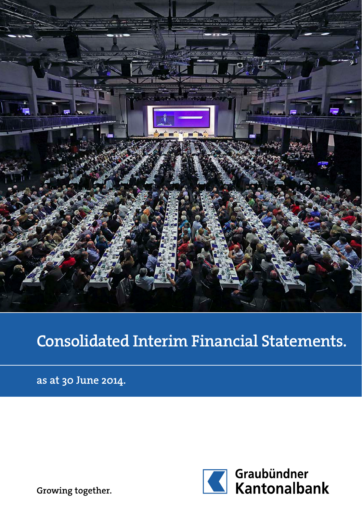

# Consolidated Interim Financial Statements.

as at 30 June 2014.



Growing together.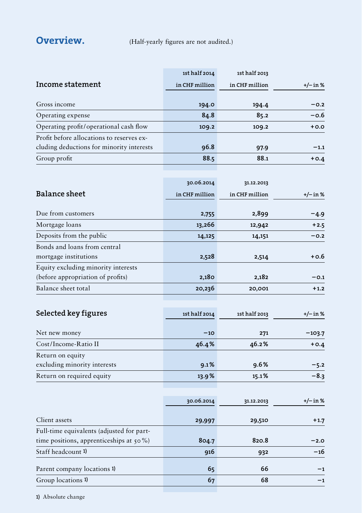**Overview.** (Half-yearly figures are not audited.)

|                                             | 1st half 2014  | 1st half 2013  |            |
|---------------------------------------------|----------------|----------------|------------|
| Income statement                            | in CHF million | in CHF million | $+/-$ in % |
| Gross income                                |                |                | $-0.2$     |
|                                             | 194.0          | 194.4          |            |
| Operating expense                           | 84.8           | 85.2           | $-0.6$     |
| Operating profit/operational cash flow      | 109.2          | 109.2          | $+0.0$     |
| Profit before allocations to reserves ex-   |                |                |            |
| cluding deductions for minority interests   | 96.8           | 97.9           | $-1.1$     |
| Group profit                                | 88.5           | 88.1           | $+0.4$     |
|                                             |                |                |            |
|                                             | 30.06.2014     | 31.12.2013     |            |
| <b>Balance sheet</b>                        | in CHF million | in CHF million | $+/-$ in % |
|                                             |                |                |            |
| Due from customers                          | 2,755          | 2,899          | -4.9       |
| Mortgage loans                              | 13,266         | 12,942         | $+2.5$     |
| Deposits from the public                    | 14,125         | 14,151         | $-0.2$     |
| Bonds and loans from central                |                |                |            |
| mortgage institutions                       | 2,528          | 2,514          | +0.6       |
| Equity excluding minority interests         |                |                |            |
| (before appropriation of profits)           | 2,180          | 2,182          | $-0.1$     |
| Balance sheet total                         | 20,236         | 20,001         | $+1.2$     |
|                                             |                |                |            |
| Selected key figures                        | 1st half 2014  | 1st half 2013  | $+/-$ in % |
|                                             |                |                |            |
| Net new money                               | $-10$          | 271            | $-103.7$   |
| Cost/Income-Ratio II                        | 46.4%          | 46.2%          | $+0.4$     |
| Return on equity                            |                |                |            |
| excluding minority interests                | 9.1%           | 9.6%           | $-5.2$     |
| Return on required equity                   | 13.9%          | 15.1%          | $-8.3$     |
|                                             |                |                |            |
|                                             | 30.06.2014     | 31.12.2013     | $+/-$ in % |
|                                             |                |                |            |
| Client assets                               | 29,997         | 29,510         | $+1.7$     |
| Full-time equivalents (adjusted for part-   |                |                |            |
| time positions, apprenticeships at $50\%$ ) | 804.7          | 820.8          | $-2.0$     |
| Staff headcount 1)                          | 916            | 932            | -16        |
|                                             |                |                |            |
| Parent company locations 1)                 | 65             | 66             | -1         |
| Group locations 1)                          | 67             | 68             | $^{-1}$    |

1) Absolute change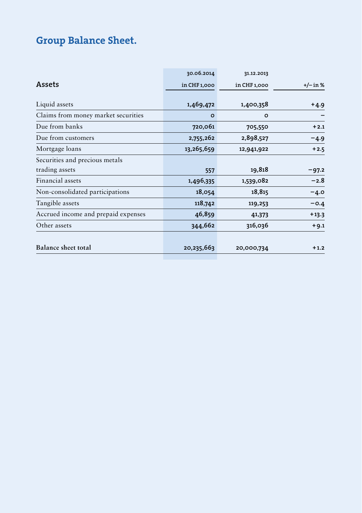## Group Balance Sheet.

|                                     | 30.06.2014   | 31.12.2013   |            |
|-------------------------------------|--------------|--------------|------------|
| Assets                              | in CHF 1,000 | in CHF 1,000 | $+/-$ in % |
| Liquid assets                       | 1,469,472    | 1,400,358    | $+4.9$     |
| Claims from money market securities | $\circ$      | $\circ$      |            |
| Due from banks                      | 720,061      | 705,550      | $+2.1$     |
| Due from customers                  | 2,755,262    | 2,898,527    | -4.9       |
| Mortgage loans                      | 13,265,659   | 12,941,922   | $+2.5$     |
| Securities and precious metals      |              |              |            |
| trading assets                      | 557          | 19,818       | $-97.2$    |
| Financial assets                    | 1,496,335    | 1,539,082    | $-2.8$     |
| Non-consolidated participations     | 18,054       | 18,815       | $-4.0$     |
| Tangible assets                     | 118,742      | 119,253      | $-0.4$     |
| Accrued income and prepaid expenses | 46,859       | 41,373       | $+13.3$    |
| Other assets                        | 344,662      | 316,036      | $+9.1$     |
| Balance sheet total                 | 20,235,663   | 20,000,734   | $+1.2$     |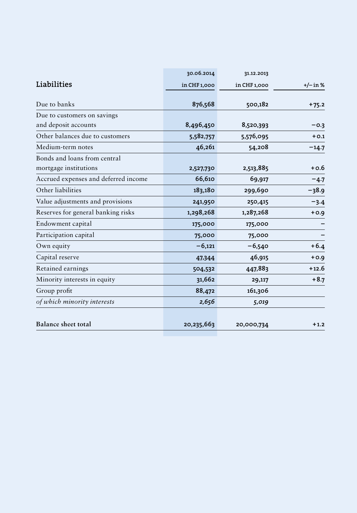|                                      | 30.06.2014   | 31.12.2013   |         |
|--------------------------------------|--------------|--------------|---------|
| Liabilities                          | in CHF 1,000 | in CHF 1,000 | +/-in%  |
| Due to banks                         | 876,568      | 500,182      | $+75.2$ |
| Due to customers on savings          |              |              |         |
| and deposit accounts                 | 8,496,450    | 8,520,393    | $-0.3$  |
| Other balances due to customers      | 5,582,757    | 5,576,095    | $+0.1$  |
| Medium-term notes                    | 46,261       | 54,208       | $-14.7$ |
| Bonds and loans from central         |              |              |         |
| mortgage institutions                | 2,527,730    | 2,513,885    | $+0.6$  |
| Accrued expenses and deferred income | 66,610       | 69,917       | $-4.7$  |
| Other liabilities                    | 183,180      | 299,690      | $-38.9$ |
| Value adjustments and provisions     | 241,950      | 250,415      | $-3.4$  |
| Reserves for general banking risks   | 1,298,268    | 1,287,268    | $+0.9$  |
| Endowment capital                    | 175,000      | 175,000      |         |
| Participation capital                | 75,000       | 75,000       |         |
| Own equity                           | $-6,121$     | $-6,540$     | $+6.4$  |
| Capital reserve                      | 47,344       | 46,915       | $+0.9$  |
| Retained earnings                    | 504,532      | 447,883      | $+12.6$ |
| Minority interests in equity         | 31,662       | 29,117       | $+8.7$  |
| Group profit                         | 88,472       | 161,306      |         |
| of which minority interests          | 2,656        | 5,019        |         |
| <b>Balance sheet total</b>           | 20,235,663   | 20,000,734   | $+1.2$  |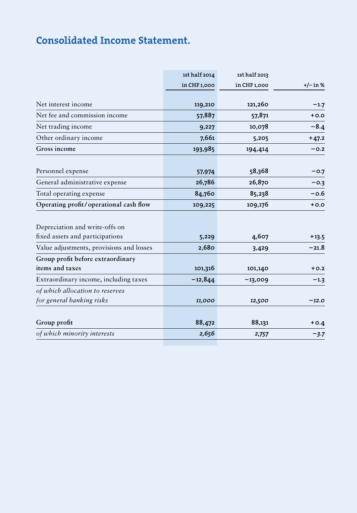## Consolidated Income Statement.

|                                          | 1st half 2014 | 1st half 2013 |            |
|------------------------------------------|---------------|---------------|------------|
|                                          | in CHF 1,000  | in CHF 1,000  | $+/- in %$ |
|                                          |               |               |            |
| Net interest income                      | 119,210       | 121,260       | $-1.7$     |
| Net fee and commission income            | 57,887        | 57,871        | $+0.0$     |
| Net trading income                       | 9,227         | 10,078        | $-8.4$     |
| Other ordinary income                    | 7,661         | 5,205         | $+47.2$    |
| Gross income                             | 193,985       | 194,414       | $-0.2$     |
| Personnel expense                        | 57,974        | 58,368        | $-0.7$     |
| General administrative expense           | 26,786        | 26,870        | $-0.3$     |
| Total operating expense                  | 84,760        | 85,238        | $-0.6$     |
| Operating profit/operational cash flow   | 109,225       | 109,176       | $+0.0$     |
|                                          |               |               |            |
| Depreciation and write-offs on           |               |               |            |
| fixed assets and participations          | 5,229         | 4,607         | $+13.5$    |
| Value adjustments, provisions and losses | 2,680         | 3,429         | $-21.8$    |
| Group profit before extraordinary        |               |               |            |
| items and taxes                          | 101,316       | 101,140       | $+0.2$     |
| Extraordinary income, including taxes    | $-12,844$     | $-13,009$     | $-1.3$     |
| of which allocation to reserves          |               |               |            |
| for general banking risks                | 11,000        | 12,500        | $-12.0$    |
|                                          |               |               |            |
| Group profit                             | 88,472        | 88,131        | $+0.4$     |
| of which minority interests              | 2,656         | 2,757         | $-3.7$     |